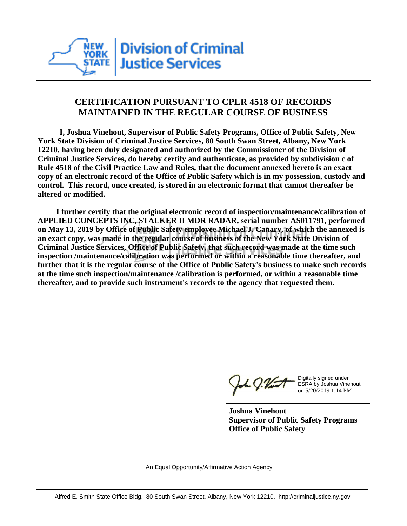

## **CERTIFICATION PURSUANT TO CPLR 4518 OF RECORDS MAINTAINED IN THE REGULAR COURSE OF BUSINESS**

 **I, Joshua Vinehout, Supervisor of Public Safety Programs, Office of Public Safety, New York State Division of Criminal Justice Services, 80 South Swan Street, Albany, New York 12210, having been duly designated and authorized by the Commissioner of the Division of Criminal Justice Services, do hereby certify and authenticate, as provided by subdivision c of Rule 4518 of the Civil Practice Law and Rules, that the document annexed hereto is an exact copy of an electronic record of the Office of Public Safety which is in my possession, custody and control. This record, once created, is stored in an electronic format that cannot thereafter be altered or modified.**

 **I further certify that the original electronic record of inspection/maintenance/calibration of APPLIED CONCEPTS INC, STALKER II MDR RADAR, serial number AS011791, performed on May 13, 2019 by Office of Public Safety employee Michael J. Canary, of which the annexed is an exact copy, was made in the regular course of business of the New York State Division of Criminal Justice Services, Office of Public Safety, that such record was made at the time such inspection /maintenance/calibration was performed or within a reasonable time thereafter, and further that it is the regular course of the Office of Public Safety's business to make such records at the time such inspection/maintenance /calibration is performed, or within a reasonable time thereafter, and to provide such instrument's records to the agency that requested them.**

h J.Vint

Digitally signed under ESRA by Joshua Vinehout on 5/20/2019 1:14 PM

**Joshua Vinehout Supervisor of Public Safety Programs Office of Public Safety**

An Equal Opportunity/Affirmative Action Agency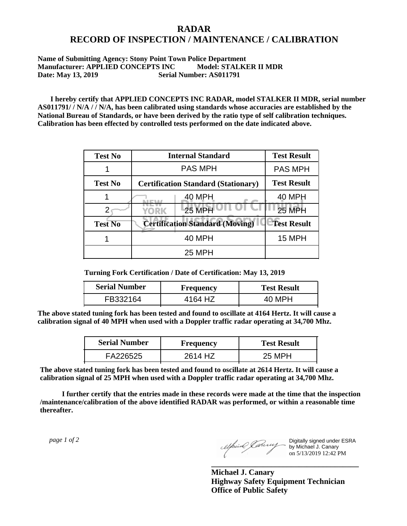## **RADAR RECORD OF INSPECTION / MAINTENANCE / CALIBRATION**

## **Name of Submitting Agency: Stony Point Town Police Department Manufacturer: APPLIED CONCEPTS INC Model: STALKER II MDR Date: May 13, 2019 Serial Number: AS011791**

 **I hereby certify that APPLIED CONCEPTS INC RADAR, model STALKER II MDR, serial number AS011791/ / N/A / / N/A, has been calibrated using standards whose accuracies are established by the National Bureau of Standards, or have been derived by the ratio type of self calibration techniques. Calibration has been effected by controlled tests performed on the date indicated above.**

| <b>Test No</b> | <b>Internal Standard</b>                   | <b>Test Result</b> |
|----------------|--------------------------------------------|--------------------|
|                | <b>PAS MPH</b>                             | <b>PAS MPH</b>     |
| <b>Test No</b> | <b>Certification Standard (Stationary)</b> | <b>Test Result</b> |
|                | 40 MPH                                     | <b>40 MPH</b>      |
|                | 25 MPH<br><b>YORK</b>                      | <b>25 MPH</b>      |
| <b>Test No</b> | <b>Certification Standard (Moving)</b>     | <b>Test Result</b> |
|                | <b>40 MPH</b>                              | 15 MPH             |
|                | <b>25 MPH</b>                              |                    |

**Turning Fork Certification / Date of Certification: May 13, 2019**

| <b>Serial Number</b> | <b>Frequency</b> | <b>Test Result</b> |
|----------------------|------------------|--------------------|
| FB332164             | 4164 HZ          | 40 MPH             |

**The above stated tuning fork has been tested and found to oscillate at 4164 Hertz. It will cause a calibration signal of 40 MPH when used with a Doppler traffic radar operating at 34,700 Mhz.**

| <b>Serial Number</b> | Frequency | <b>Test Result</b> |
|----------------------|-----------|--------------------|
| FA226525             | 2614 HZ   | 25 MPH             |

**The above stated tuning fork has been tested and found to oscillate at 2614 Hertz. It will cause a calibration signal of 25 MPH when used with a Doppler traffic radar operating at 34,700 Mhz.**

 **I further certify that the entries made in these records were made at the time that the inspection /maintenance/calibration of the above identified RADAR was performed, or within a reasonable time thereafter.**

 *page 1 of 2* 

Digitally signed under ESRA by Michael J. Canary on 5/13/2019 12:42 PM

**Michael J. Canary Highway Safety Equipment Technician Office of Public Safety**

**\_\_\_\_\_\_\_\_\_\_\_\_\_\_\_\_\_\_\_\_\_\_\_\_\_\_\_\_\_\_\_\_\_\_\_\_\_**